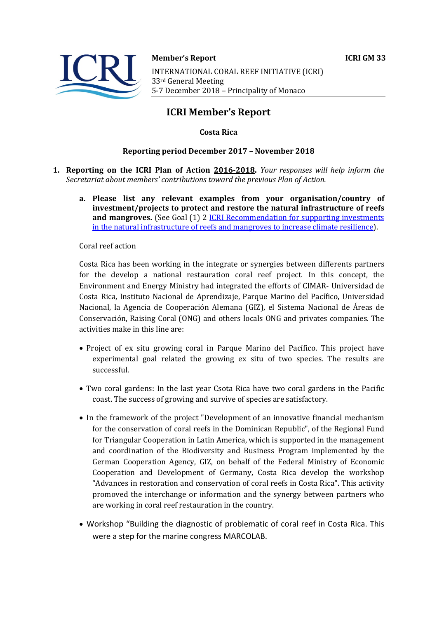

## **Member's Report ICRI GM 33** INTERNATIONAL CORAL REEF INITIATIVE (ICRI) 33rd General Meeting 5-7 December 2018 - Principality of Monaco

# **ICRI Member's Report**

### **Costa Rica**

#### **Reporting period December 2017 - November 2018**

- **1. Reporting on the ICRI Plan of Action 2016-2018.** *Your responses will help inform the Secretariat about members' contributions toward the previous Plan of Action.* 
	- a. Please list any relevant examples from your organisation/country of **investment/projects to protect and restore the natural infrastructure of reefs and mangroves.** (See Goal (1) 2 **ICRI** Recommendation for supporting investments in the natural infrastructure of reefs and mangroves to increase climate resilience).

Coral reef action

Costa Rica has been working in the integrate or synergies between differents partners for the develop a national restauration coral reef project. In this concept, the Environment and Energy Ministry had integrated the efforts of CIMAR- Universidad de Costa Rica, Instituto Nacional de Aprendizaje, Parque Marino del Pacífico, Universidad Nacional, la Agencia de Cooperación Alemana (GIZ), el Sistema Nacional de Áreas de Conservación, Raising Coral (ONG) and others locals ONG and privates companies. The activities make in this line are:

- Project of ex situ growing coral in Parque Marino del Pacífico. This project have experimental goal related the growing ex situ of two species. The results are successful.
- Two coral gardens: In the last year Csota Rica have two coral gardens in the Pacific coast. The success of growing and survive of species are satisfactory.
- In the framework of the project "Development of an innovative financial mechanism for the conservation of coral reefs in the Dominican Republic", of the Regional Fund for Triangular Cooperation in Latin America, which is supported in the management and coordination of the Biodiversity and Business Program implemented by the German Cooperation Agency, GIZ, on behalf of the Federal Ministry of Economic Cooperation and Development of Germany, Costa Rica develop the workshop "Advances in restoration and conservation of coral reefs in Costa Rica". This activity promoved the interchange or information and the synergy between partners who are working in coral reef restauration in the country.
- Workshop "Building the diagnostic of problematic of coral reef in Costa Rica. This were a step for the marine congress MARCOLAB.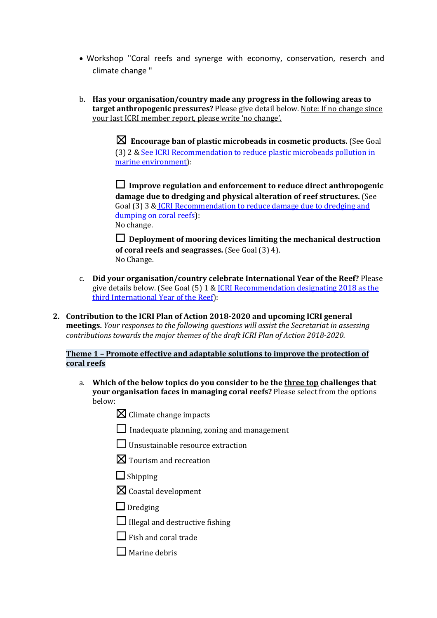- Workshop "Coral reefs and synerge with economy, conservation, reserch and climate change "
- b. Has your organisation/country made any progress in the following areas to **target anthropogenic pressures?** Please give detail below. Note: If no change since your last ICRI member report, please write 'no change'.

 $\boxtimes$  Encourage ban of plastic microbeads in cosmetic products. (See Goal (3) 2 & See ICRI Recommendation to reduce plastic microbeads pollution in marine environment):

□ Improve regulation and enforcement to reduce direct anthropogenic damage due to dredging and physical alteration of reef structures. (See Goal (3) 3 & ICRI Recommendation to reduce damage due to dredging and dumping on coral reefs): No change.

 $\Box$  Deployment of mooring devices limiting the mechanical destruction **of coral reefs and seagrasses.** (See Goal (3) 4). No Change. 

- c. Did your organisation/country celebrate International Year of the Reef? Please give details below. (See Goal  $(5)$  1 & ICRI Recommendation designating 2018 as the third International Year of the Reef):
- 2. Contribution to the ICRI Plan of Action 2018-2020 and upcoming ICRI general **meetings.** *Your responses to the following questions will assist the Secretariat in assessing contributions towards the major themes of the draft ICRI Plan of Action 2018-2020.*

#### **Theme 1 - Promote effective and adaptable solutions to improve the protection of coral reefs**

- a. Which of the below topics do you consider to be the three top challenges that **your organisation faces in managing coral reefs?** Please select from the options below:
	- $\boxtimes$  Climate change impacts
	- $\Box$  Inadequate planning, zoning and management
	- $\Box$  Unsustainable resource extraction
	- $\boxtimes$  Tourism and recreation
	- $\Box$  Shipping
	- $\boxtimes$  Coastal development
	- $\Box$  Dredging
	- $\Box$  Illegal and destructive fishing
	- $\Box$  Fish and coral trade
	- $\Box$  Marine debris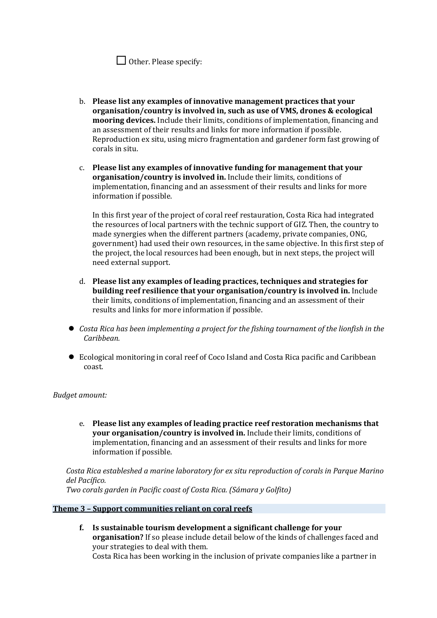|  |  |  | $\Box$ Other. Please specify: |
|--|--|--|-------------------------------|
|--|--|--|-------------------------------|

- b. Please list any examples of innovative management practices that your **organisation/country is involved in, such as use of VMS, drones & ecological mooring devices.** Include their limits, conditions of implementation, financing and an assessment of their results and links for more information if possible. Reproduction ex situ, using micro fragmentation and gardener form fast growing of corals in situ.
- c. Please list any examples of innovative funding for management that your **organisation/country is involved in.** Include their limits, conditions of implementation, financing and an assessment of their results and links for more information if possible.

In this first year of the project of coral reef restauration, Costa Rica had integrated the resources of local partners with the technic support of GIZ. Then, the country to made synergies when the different partners (academy, private companies, ONG, government) had used their own resources, in the same objective. In this first step of the project, the local resources had been enough, but in next steps, the project will need external support.

- d. Please list any examples of leading practices, techniques and strategies for **building reef resilience that your organisation/country is involved in.** Include their limits, conditions of implementation, financing and an assessment of their results and links for more information if possible.
- *Costa Rica has been implementing a project for the fishing tournament of the lionfish in the Caribbean.*
- Ecological monitoring in coral reef of Coco Island and Costa Rica pacific and Caribbean coast.

#### **Budget** amount:

e. Please list any examples of leading practice reef restoration mechanisms that **your organisation/country is involved in.** Include their limits, conditions of implementation, financing and an assessment of their results and links for more information if possible.

*Costa Rica estableshed a marine laboratory for ex situ reproduction of corals in Parque Marino del Pacífico.*

*Two corals garden in Pacific coast of Costa Rica. (Sámara y Golfito)* 

#### **Theme 3 - Support communities reliant on coral reefs**

f. Is sustainable tourism development a significant challenge for your **organisation?** If so please include detail below of the kinds of challenges faced and your strategies to deal with them. Costa Rica has been working in the inclusion of private companies like a partner in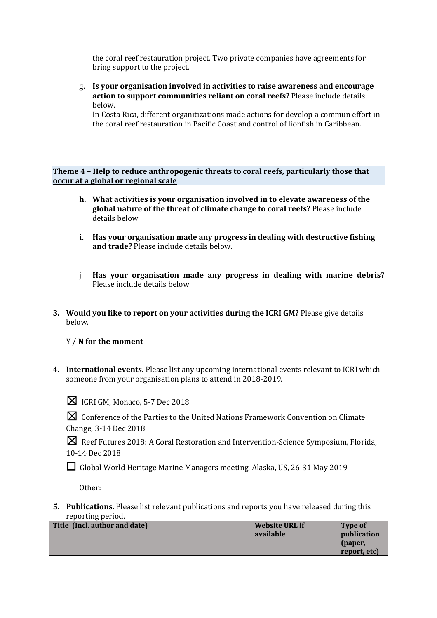the coral reef restauration project. Two private companies have agreements for bring support to the project.

g. Is your organisation involved in activities to raise awareness and encourage **action to support communities reliant on coral reefs?** Please include details below.

In Costa Rica, different organitizations made actions for develop a commun effort in the coral reef restauration in Pacific Coast and control of lionfish in Caribbean.

**Theme 4 - Help to reduce anthropogenic threats to coral reefs, particularly those that occur at a global or regional scale** 

- **h.** What activities is your organisation involved in to elevate awareness of the **global nature of the threat of climate change to coral reefs?** Please include details below
- **i.** Has your organisation made any progress in dealing with destructive fishing and trade? Please include details below.
- j. Has your organisation made any progress in dealing with marine debris? Please include details below.
- **3.** Would you like to report on your activities during the ICRI GM? Please give details below.

Y / **N** for the moment

4. International events. Please list any upcoming international events relevant to ICRI which someone from your organisation plans to attend in 2018-2019.



 $\boxtimes$  ICRI GM, Monaco, 5-7 Dec 2018

**X** Conference of the Parties to the United Nations Framework Convention on Climate Change, 3-14 Dec 2018

**X** Reef Futures 2018: A Coral Restoration and Intervention-Science Symposium, Florida, 10-14 Dec 2018

□ Global World Heritage Marine Managers meeting, Alaska, US, 26-31 May 2019

Other: 

**5.** Publications. Please list relevant publications and reports you have released during this reporting period.

| Title (Incl. author and date) | Website URL if | Type of            |
|-------------------------------|----------------|--------------------|
|                               | available      | <b>publication</b> |
|                               |                | (paper,            |
|                               |                | report, etc)       |